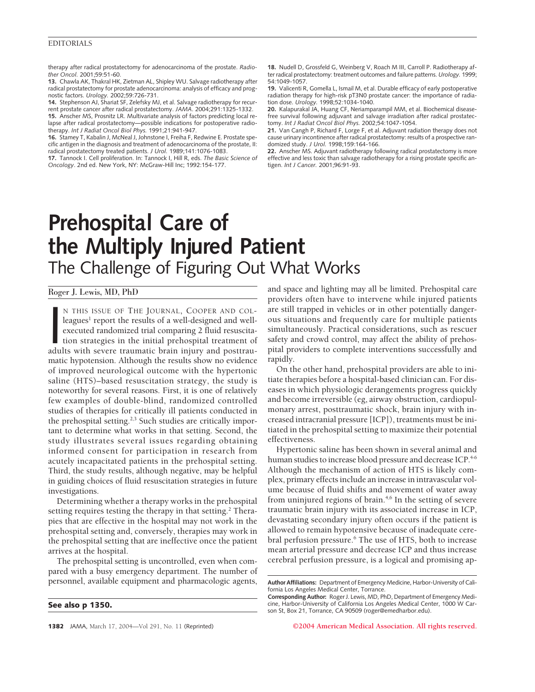### EDITORIALS

therapy after radical prostatectomy for adenocarcinoma of the prostate. *Radiother Oncol.* 2001;59:51-60.

**13.** Chawla AK, Thakral HK, Zietman AL, Shipley WU. Salvage radiotherapy after radical prostatectomy for prostate adenocarcinoma: analysis of efficacy and prog-

nostic factors. *Urology.* 2002;59:726-731. **14.** Stephenson AJ, Shariat SF, Zelefsky MJ, et al. Salvage radiotherapy for recurrent prostate cancer after radical prostatectomy. *JAMA*. 2004;291:1325-1332. **15.** Anscher MS, Prosnitz LR. Multivariate analysis of factors predicting local relapse after radical prostatectomy—possible indications for postoperative radiotherapy. *Int J Radiat Oncol Biol Phys.* 1991;21:941-947.

**16.** Stamey T, Kabalin J, McNeal J, Johnstone I, Freiha F, Redwine E. Prostate specific antigen in the diagnosis and treatment of adenocarcinoma of the prostate, II: radical prostatectomy treated patients. *J Urol.* 1989;141:1076-1083.

**17.** Tannock I. Cell proliferation. In: Tannock I, Hill R, eds. *The Basic Science of Oncology*. 2nd ed. New York, NY: McGraw-Hill Inc; 1992:154-177.

**18.** Nudell D, Grossfeld G, Weinberg V, Roach M III, Carroll P. Radiotherapy after radical prostatectomy: treatment outcomes and failure patterns. *Urology.* 1999; 54:1049-1057.

**19.** Valicenti R, Gomella L, Ismail M, et al. Durable efficacy of early postoperative radiation therapy for high-risk pT3N0 prostate cancer: the importance of radiation dose. *Urology.* 1998;52:1034-1040.

**20.** Kalapurakal JA, Huang CF, Neriamparampil MM, et al. Biochemical diseasefree survival following adjuvant and salvage irradiation after radical prostatec-tomy. *Int J Radiat Oncol Biol Phys.* 2002;54:1047-1054.

**21.** Van Cangh P, Richard F, Lorge F, et al. Adjuvant radiation therapy does not cause urinary incontinence after radical prostatectomy: results of a prospective randomized study. *J Urol.* 1998;159:164-166.

**22.** Anscher MS. Adjuvant radiotherapy following radical prostatectomy is more effective and less toxic than salvage radiotherapy for a rising prostate specific antigen. *Int J Cancer.* 2001;96:91-93.

# **Prehospital Care of the Multiply Injured Patient** The Challenge of Figuring Out What Works

## Roger J. Lewis, MD, PhD

N THIS ISSUE OF THE JOURNAL, COOPER AND COL-<br>leagues<sup>1</sup> report the results of a well-designed and well-<br>executed randomized trial comparing 2 fluid resuscita-<br>tion strategies in the initial prehospital treatment of<br>adults N THIS ISSUE OF THE JOURNAL, COOPER AND COL $le$  report the results of a well-designed and wellexecuted randomized trial comparing 2 fluid resuscitation strategies in the initial prehospital treatment of matic hypotension. Although the results show no evidence of improved neurological outcome with the hypertonic saline (HTS)–based resuscitation strategy, the study is noteworthy for several reasons. First, it is one of relatively few examples of double-blind, randomized controlled studies of therapies for critically ill patients conducted in the prehospital setting.<sup>2,3</sup> Such studies are critically important to determine what works in that setting. Second, the study illustrates several issues regarding obtaining informed consent for participation in research from acutely incapacitated patients in the prehospital setting. Third, the study results, although negative, may be helpful in guiding choices of fluid resuscitation strategies in future investigations.

Determining whether a therapy works in the prehospital setting requires testing the therapy in that setting.<sup>2</sup> Therapies that are effective in the hospital may not work in the prehospital setting and, conversely, therapies may work in the prehospital setting that are ineffective once the patient arrives at the hospital.

The prehospital setting is uncontrolled, even when compared with a busy emergency department. The number of personnel, available equipment and pharmacologic agents,

**See also p 1350.**

and space and lighting may all be limited. Prehospital care providers often have to intervene while injured patients are still trapped in vehicles or in other potentially dangerous situations and frequently care for multiple patients simultaneously. Practical considerations, such as rescuer safety and crowd control, may affect the ability of prehospital providers to complete interventions successfully and rapidly.

On the other hand, prehospital providers are able to initiate therapies before a hospital-based clinician can. For diseases in which physiologic derangements progress quickly and become irreversible (eg, airway obstruction, cardiopulmonary arrest, posttraumatic shock, brain injury with increased intracranial pressure [ICP]), treatments must be initiated in the prehospital setting to maximize their potential effectiveness.

Hypertonic saline has been shown in several animal and human studies to increase blood pressure and decrease ICP.<sup>4-6</sup> Although the mechanism of action of HTS is likely complex, primary effects include an increase in intravascular volume because of fluid shifts and movement of water away from uninjured regions of brain.<sup>4,6</sup> In the setting of severe traumatic brain injury with its associated increase in ICP, devastating secondary injury often occurs if the patient is allowed to remain hypotensive because of inadequate cerebral perfusion pressure.<sup>6</sup> The use of HTS, both to increase mean arterial pressure and decrease ICP and thus increase cerebral perfusion pressure, is a logical and promising ap-

**Author Affiliations:** Department of Emergency Medicine, Harbor-University of California Los Angeles Medical Center, Torrance.

**Corresponding Author:** Roger J. Lewis, MD, PhD, Department of Emergency Medicine, Harbor-University of California Los Angeles Medical Center, 1000 W Carson St, Box 21, Torrance, CA 90509 (roger@emedharbor.edu).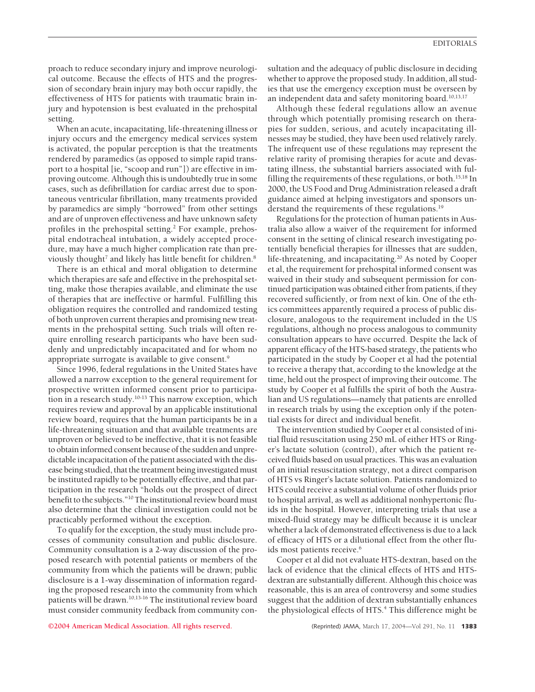proach to reduce secondary injury and improve neurological outcome. Because the effects of HTS and the progression of secondary brain injury may both occur rapidly, the effectiveness of HTS for patients with traumatic brain injury and hypotension is best evaluated in the prehospital setting.

When an acute, incapacitating, life-threatening illness or injury occurs and the emergency medical services system is activated, the popular perception is that the treatments rendered by paramedics (as opposed to simple rapid transport to a hospital [ie, "scoop and run"]) are effective in improving outcome. Although this is undoubtedly true in some cases, such as defibrillation for cardiac arrest due to spontaneous ventricular fibrillation, many treatments provided by paramedics are simply "borrowed" from other settings and are of unproven effectiveness and have unknown safety profiles in the prehospital setting.<sup>2</sup> For example, prehospital endotracheal intubation, a widely accepted procedure, may have a much higher complication rate than previously thought<sup>7</sup> and likely has little benefit for children.<sup>8</sup>

There is an ethical and moral obligation to determine which therapies are safe and effective in the prehospital setting, make those therapies available, and eliminate the use of therapies that are ineffective or harmful. Fulfilling this obligation requires the controlled and randomized testing of both unproven current therapies and promising new treatments in the prehospital setting. Such trials will often require enrolling research participants who have been suddenly and unpredictably incapacitated and for whom no appropriate surrogate is available to give consent.<sup>9</sup>

Since 1996, federal regulations in the United States have allowed a narrow exception to the general requirement for prospective written informed consent prior to participation in a research study.<sup>10-13</sup> This narrow exception, which requires review and approval by an applicable institutional review board, requires that the human participants be in a life-threatening situation and that available treatments are unproven or believed to be ineffective, that it is not feasible to obtain informed consent because of the sudden and unpredictable incapacitation of the patient associated with the disease being studied, that the treatment being investigated must be instituted rapidly to be potentially effective, and that participation in the research "holds out the prospect of direct benefit to the subjects."<sup>10</sup>The institutional review board must also determine that the clinical investigation could not be practicably performed without the exception.

To qualify for the exception, the study must include processes of community consultation and public disclosure. Community consultation is a 2-way discussion of the proposed research with potential patients or members of the community from which the patients will be drawn; public disclosure is a 1-way dissemination of information regarding the proposed research into the community from which patients will be drawn.<sup>10,13-16</sup> The institutional review board must consider community feedback from community consultation and the adequacy of public disclosure in deciding whether to approve the proposed study. In addition, all studies that use the emergency exception must be overseen by an independent data and safety monitoring board.<sup>10,13,17</sup>

Although these federal regulations allow an avenue through which potentially promising research on therapies for sudden, serious, and acutely incapacitating illnesses may be studied, they have been used relatively rarely. The infrequent use of these regulations may represent the relative rarity of promising therapies for acute and devastating illness, the substantial barriers associated with fulfilling the requirements of these regulations, or both.<sup>15,18</sup> In 2000, the US Food and Drug Administration released a draft guidance aimed at helping investigators and sponsors understand the requirements of these regulations.<sup>19</sup>

Regulations for the protection of human patients in Australia also allow a waiver of the requirement for informed consent in the setting of clinical research investigating potentially beneficial therapies for illnesses that are sudden, life-threatening, and incapacitating.<sup>20</sup> As noted by Cooper et al, the requirement for prehospital informed consent was waived in their study and subsequent permission for continued participation was obtained either from patients, if they recovered sufficiently, or from next of kin. One of the ethics committees apparently required a process of public disclosure, analogous to the requirement included in the US regulations, although no process analogous to community consultation appears to have occurred. Despite the lack of apparent efficacy of the HTS-based strategy, the patients who participated in the study by Cooper et al had the potential to receive a therapy that, according to the knowledge at the time, held out the prospect of improving their outcome. The study by Cooper et al fulfills the spirit of both the Australian and US regulations—namely that patients are enrolled in research trials by using the exception only if the potential exists for direct and individual benefit.

The intervention studied by Cooper et al consisted of initial fluid resuscitation using 250 mL of either HTS or Ringer's lactate solution (control), after which the patient received fluids based on usual practices. This was an evaluation of an initial resuscitation strategy, not a direct comparison of HTS vs Ringer's lactate solution. Patients randomized to HTS could receive a substantial volume of other fluids prior to hospital arrival, as well as additional nonhypertonic fluids in the hospital. However, interpreting trials that use a mixed-fluid strategy may be difficult because it is unclear whether a lack of demonstrated effectiveness is due to a lack of efficacy of HTS or a dilutional effect from the other fluids most patients receive.<sup>6</sup>

Cooper et al did not evaluate HTS-dextran, based on the lack of evidence that the clinical effects of HTS and HTSdextran are substantially different. Although this choice was reasonable, this is an area of controversy and some studies suggest that the addition of dextran substantially enhances the physiological effects of HTS.<sup>4</sup> This difference might be